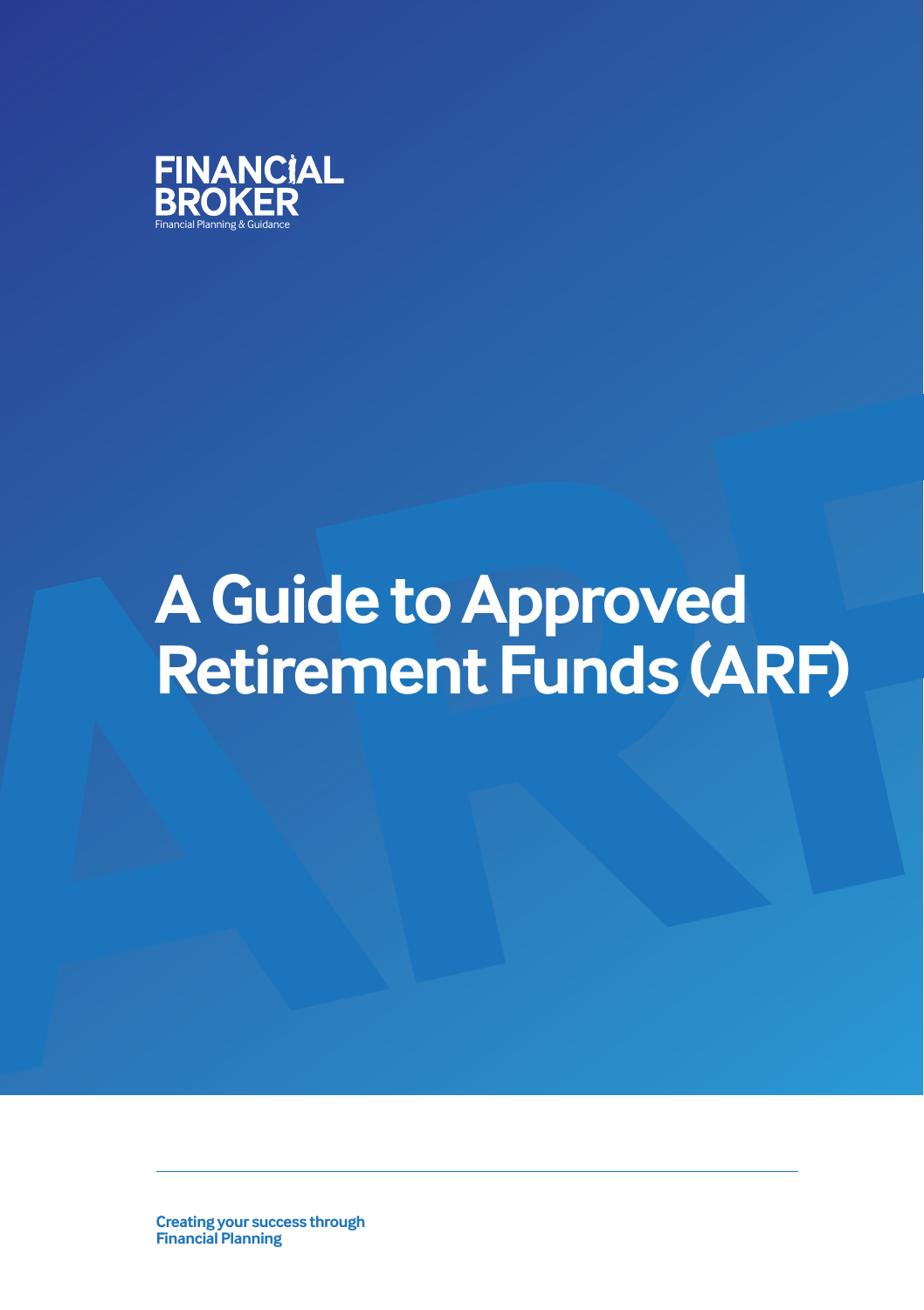

# **A Guide to Approved<br>Retirement Funds (ARF) A Guide to Approved Retirement Funds (ARF)**

**Creating your success through Financial Planning**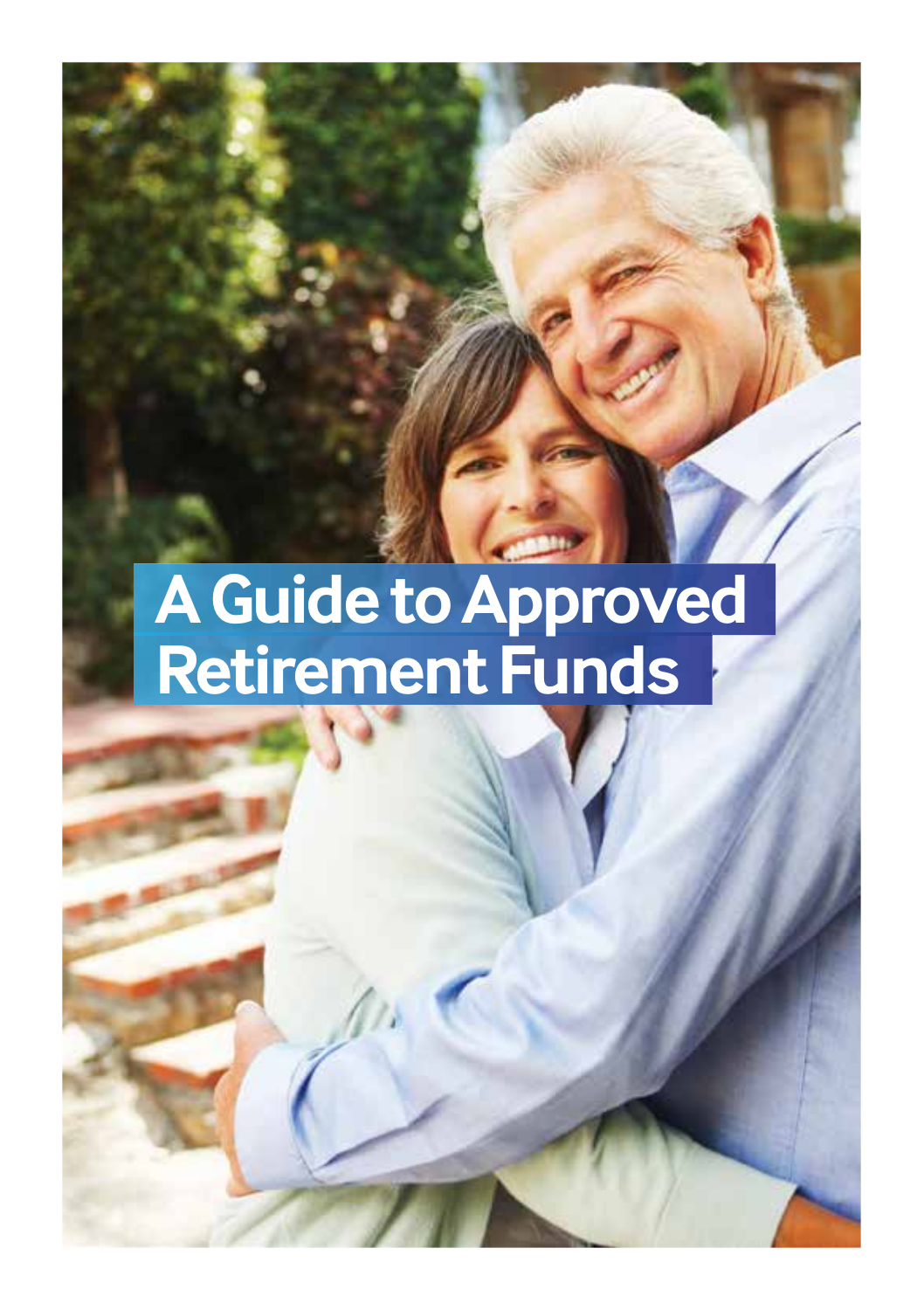## **A Guide to Approved Retirement Funds**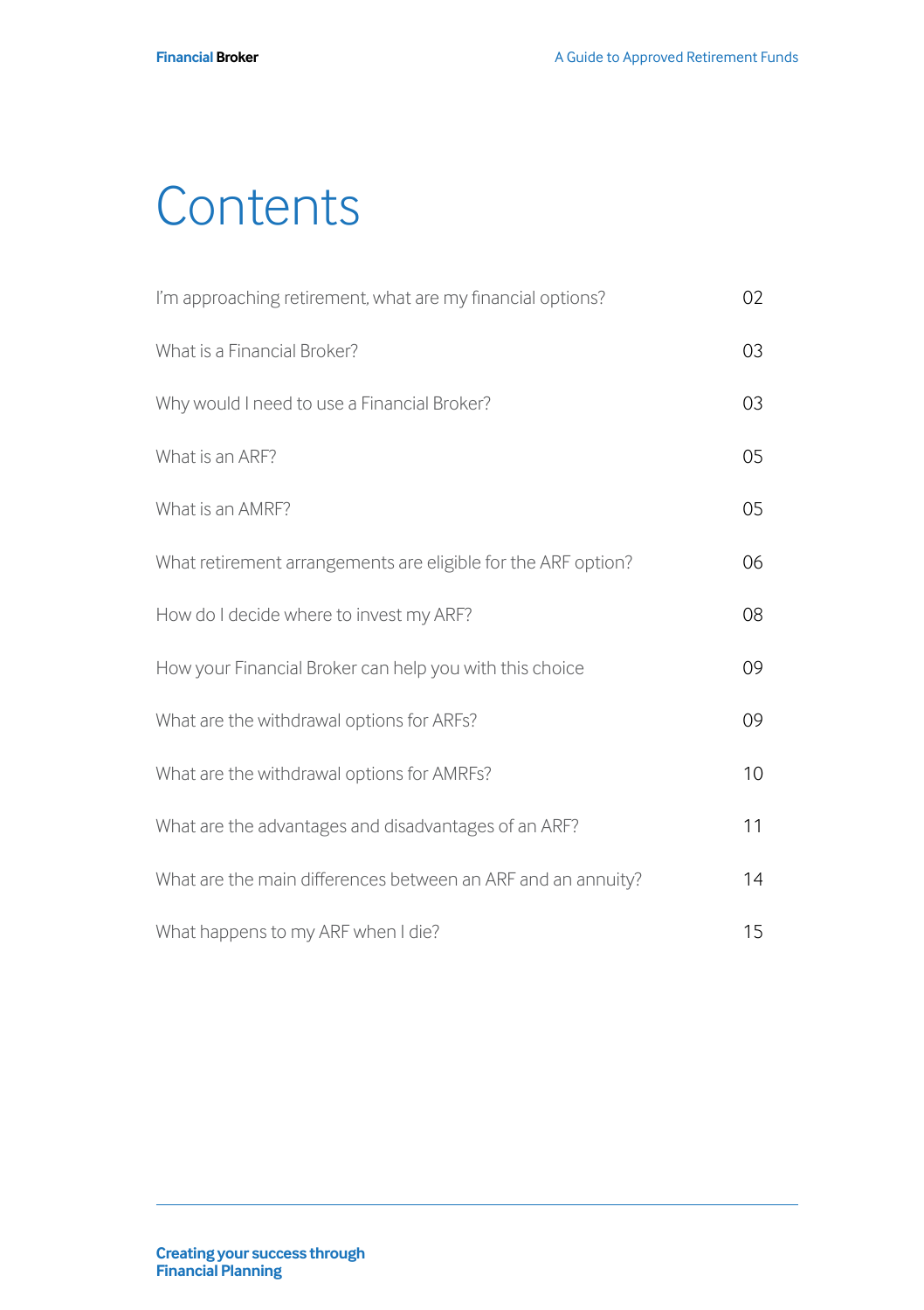## **Contents**

| I'm approaching retirement, what are my financial options?    | 02              |
|---------------------------------------------------------------|-----------------|
| What is a Financial Broker?                                   | 03              |
| Why would I need to use a Financial Broker?                   | 03              |
| What is an ARF?                                               | 05              |
| What is an AMRF?                                              | 05              |
| What retirement arrangements are eligible for the ARF option? | 06              |
| How do I decide where to invest my ARF?                       | 08              |
| How your Financial Broker can help you with this choice       | 09              |
| What are the withdrawal options for ARFs?                     | 09              |
| What are the withdrawal options for AMRFs?                    | 10 <sup>°</sup> |
| What are the advantages and disadvantages of an ARF?          | 11              |
| What are the main differences between an ARF and an annuity?  | 14              |
| What happens to my ARF when I die?                            | 15              |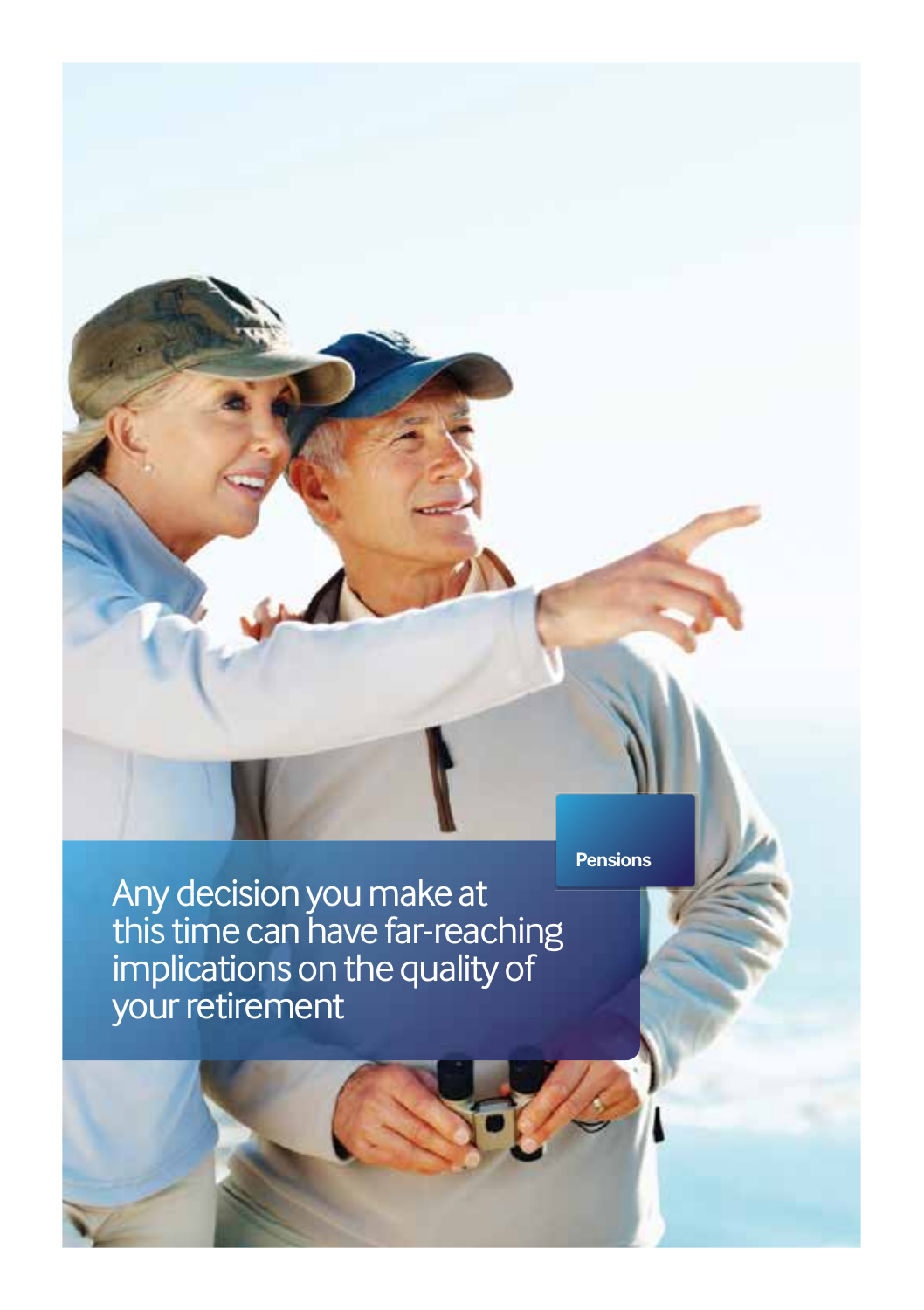Any decision you make at this time can have far-reaching implications on the quality of your retirement

**Pensions**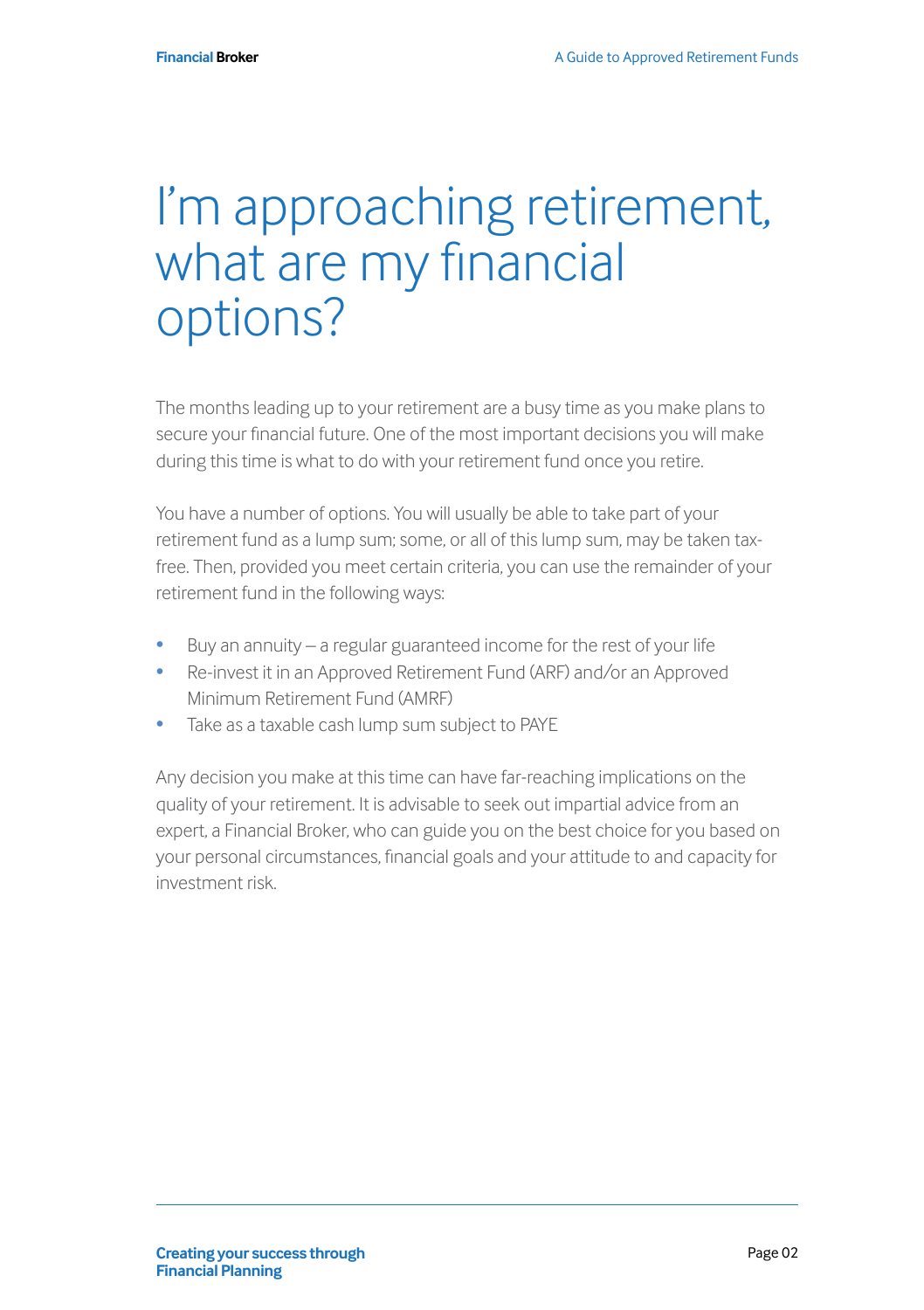#### I'm approaching retirement, what are my financial options?

The months leading up to your retirement are a busy time as you make plans to secure your financial future. One of the most important decisions you will make during this time is what to do with your retirement fund once you retire.

You have a number of options. You will usually be able to take part of your retirement fund as a lump sum; some, or all of this lump sum, may be taken taxfree. Then, provided you meet certain criteria, you can use the remainder of your retirement fund in the following ways:

- Buy an annuity a regular guaranteed income for the rest of your life
- Re-invest it in an Approved Retirement Fund (ARF) and/or an Approved Minimum Retirement Fund (AMRF)
- Take as a taxable cash lump sum subject to PAYE

Any decision you make at this time can have far-reaching implications on the quality of your retirement. It is advisable to seek out impartial advice from an expert, a Financial Broker, who can guide you on the best choice for you based on your personal circumstances, financial goals and your attitude to and capacity for investment risk.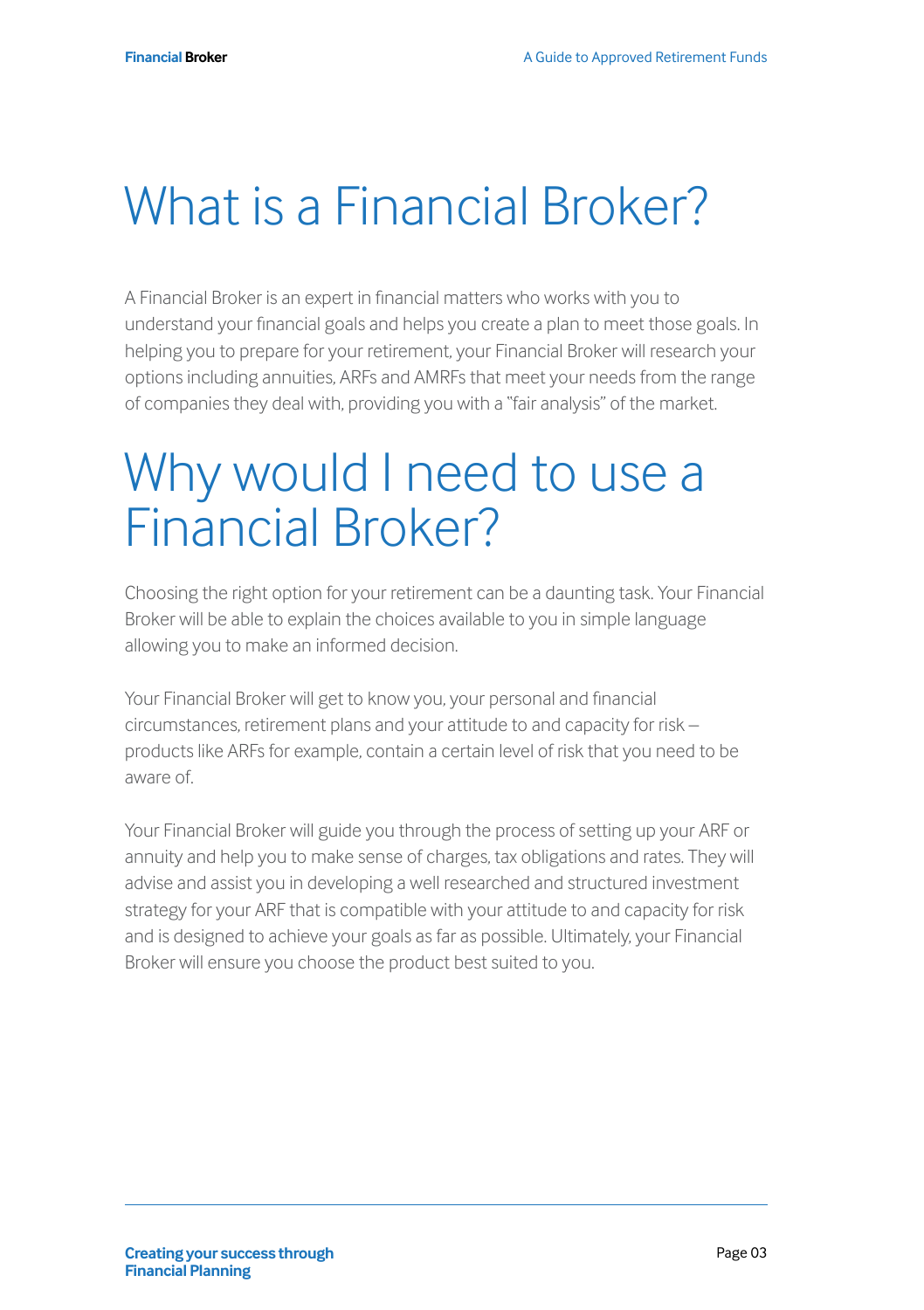## What is a Financial Broker?

A Financial Broker is an expert in financial matters who works with you to understand your financial goals and helps you create a plan to meet those goals. In helping you to prepare for your retirement, your Financial Broker will research your options including annuities, ARFs and AMRFs that meet your needs from the range of companies they deal with, providing you with a "fair analysis" of the market.

#### Why would I need to use a Financial Broker?

Choosing the right option for your retirement can be a daunting task. Your Financial Broker will be able to explain the choices available to you in simple language allowing you to make an informed decision.

Your Financial Broker will get to know you, your personal and financial circumstances, retirement plans and your attitude to and capacity for risk – products like ARFs for example, contain a certain level of risk that you need to be aware of.

Your Financial Broker will guide you through the process of setting up your ARF or annuity and help you to make sense of charges, tax obligations and rates. They will advise and assist you in developing a well researched and structured investment strategy for your ARF that is compatible with your attitude to and capacity for risk and is designed to achieve your goals as far as possible. Ultimately, your Financial Broker will ensure you choose the product best suited to you.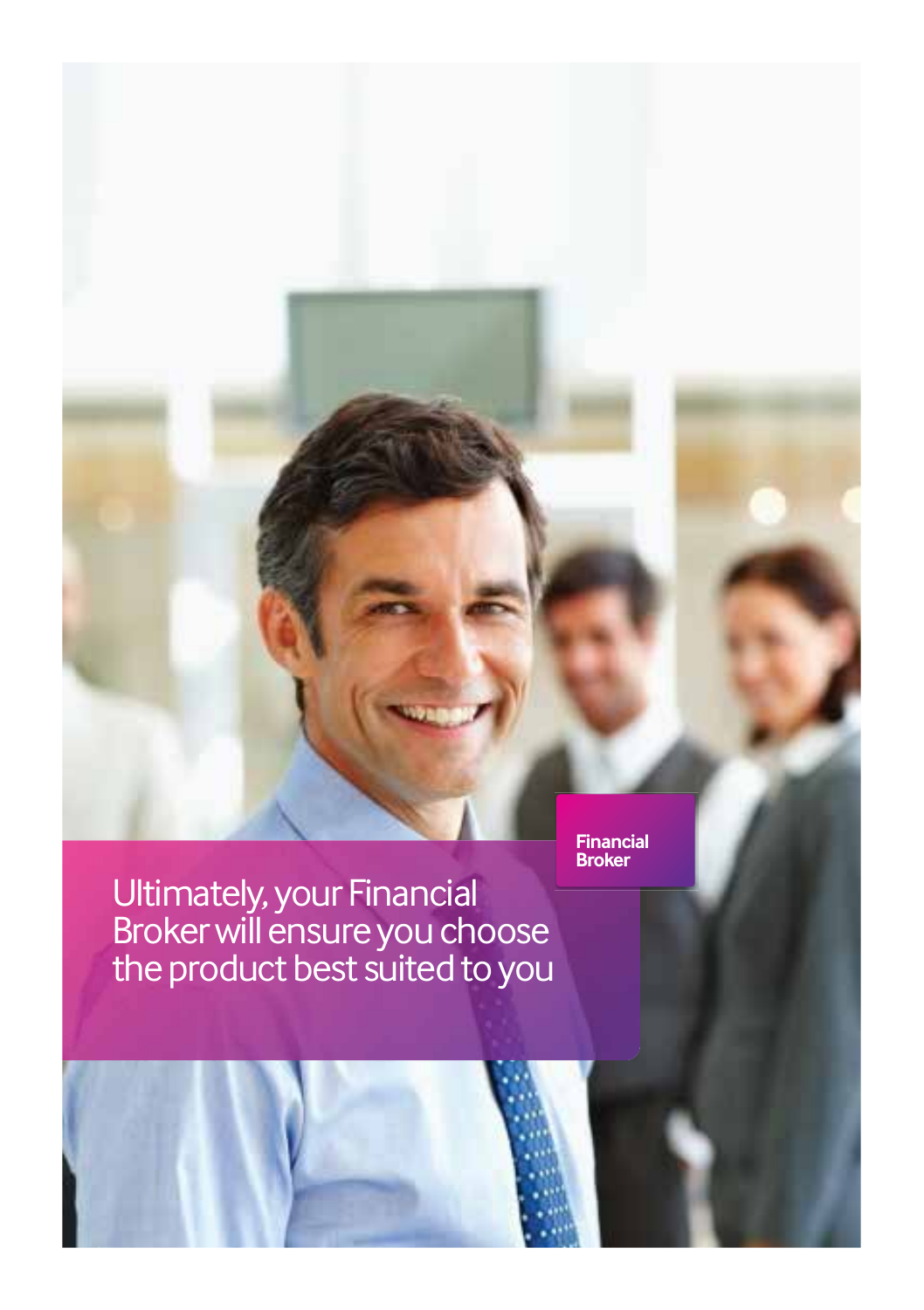Ultimately, your Financial Broker will ensure you choose

**Financial Broker**

the product best suited to you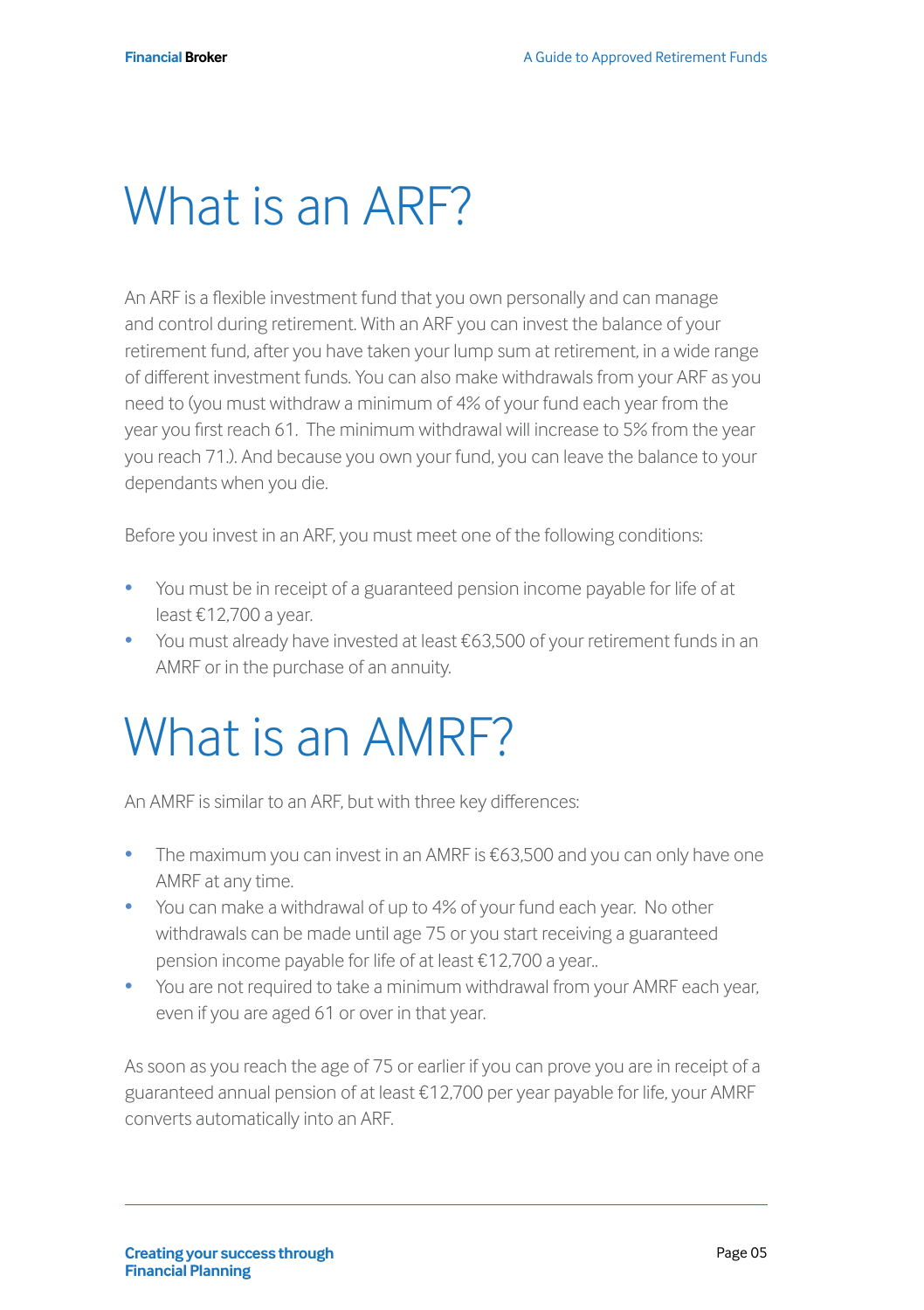## What is an ARF?

An ARF is a flexible investment fund that you own personally and can manage and control during retirement. With an ARF you can invest the balance of your retirement fund, after you have taken your lump sum at retirement, in a wide range of different investment funds. You can also make withdrawals from your ARF as you need to (you must withdraw a minimum of 4% of your fund each year from the year you first reach 61. The minimum withdrawal will increase to 5% from the year you reach 71.). And because you own your fund, you can leave the balance to your dependants when you die.

Before you invest in an ARF, you must meet one of the following conditions:

- You must be in receipt of a guaranteed pension income payable for life of at least €12,700 a year.
- You must already have invested at least €63,500 of your retirement funds in an AMRF or in the purchase of an annuity.

## What is an AMRF?

An AMRF is similar to an ARF, but with three key differences:

- The maximum you can invest in an AMRF is €63,500 and you can only have one AMRF at any time.
- You can make a withdrawal of up to 4% of your fund each year. No other withdrawals can be made until age 75 or you start receiving a guaranteed pension income payable for life of at least €12,700 a year..
- You are not required to take a minimum withdrawal from your AMRF each year, even if you are aged 61 or over in that year.

As soon as you reach the age of 75 or earlier if you can prove you are in receipt of a guaranteed annual pension of at least €12,700 per year payable for life, your AMRF converts automatically into an ARF.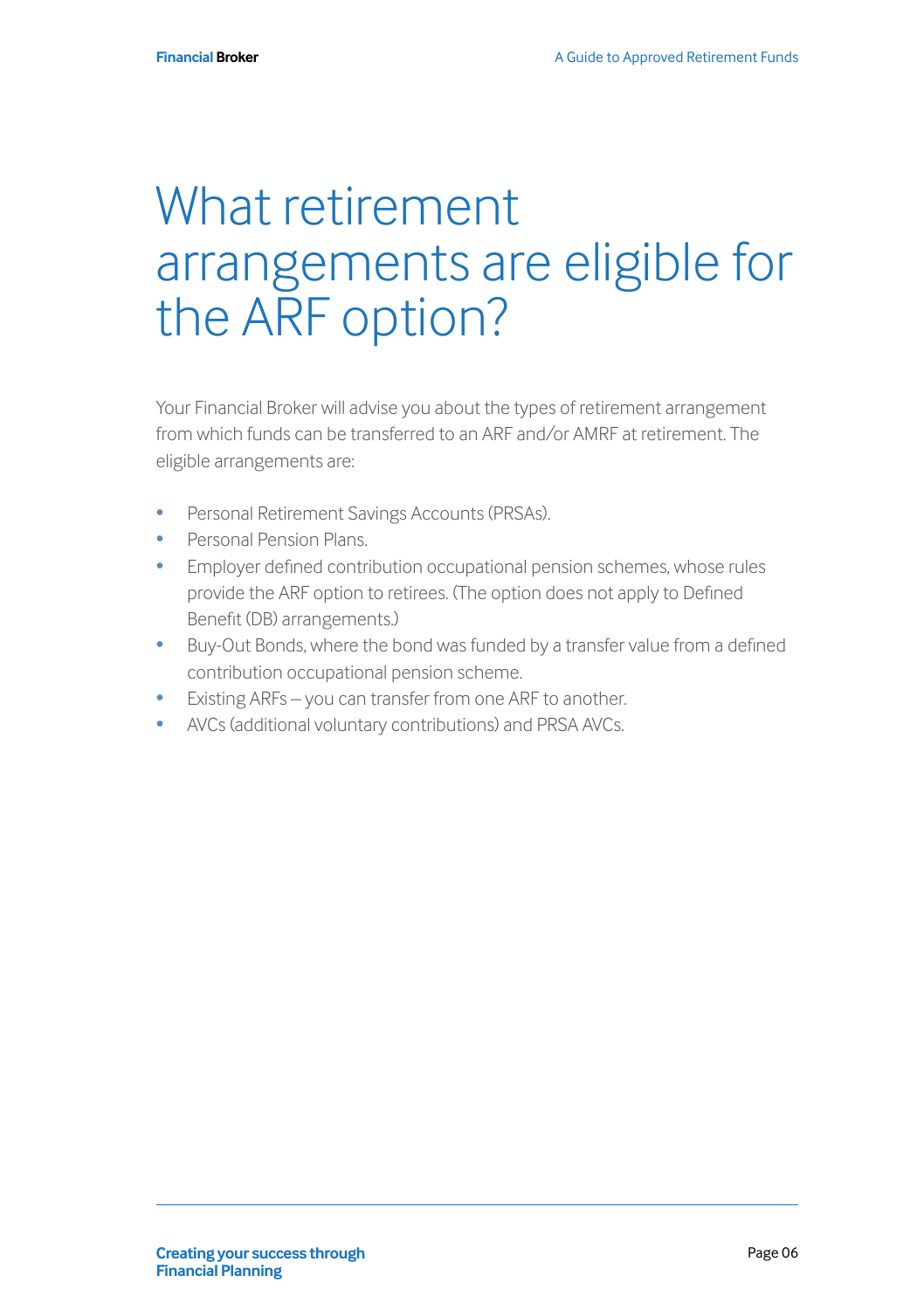#### What retirement arrangements are eligible for the ARF option?

Your Financial Broker will advise you about the types of retirement arrangement from which funds can be transferred to an ARF and/or AMRF at retirement. The eligible arrangements are:

- Personal Retirement Savings Accounts (PRSAs).
- Personal Pension Plans.
- Employer defined contribution occupational pension schemes, whose rules provide the ARF option to retirees. (The option does not apply to Defined Benefit (DB) arrangements.)
- Buy-Out Bonds, where the bond was funded by a transfer value from a defined contribution occupational pension scheme.
- Existing ARFs you can transfer from one ARF to another.
- AVCs (additional voluntary contributions) and PRSA AVCs.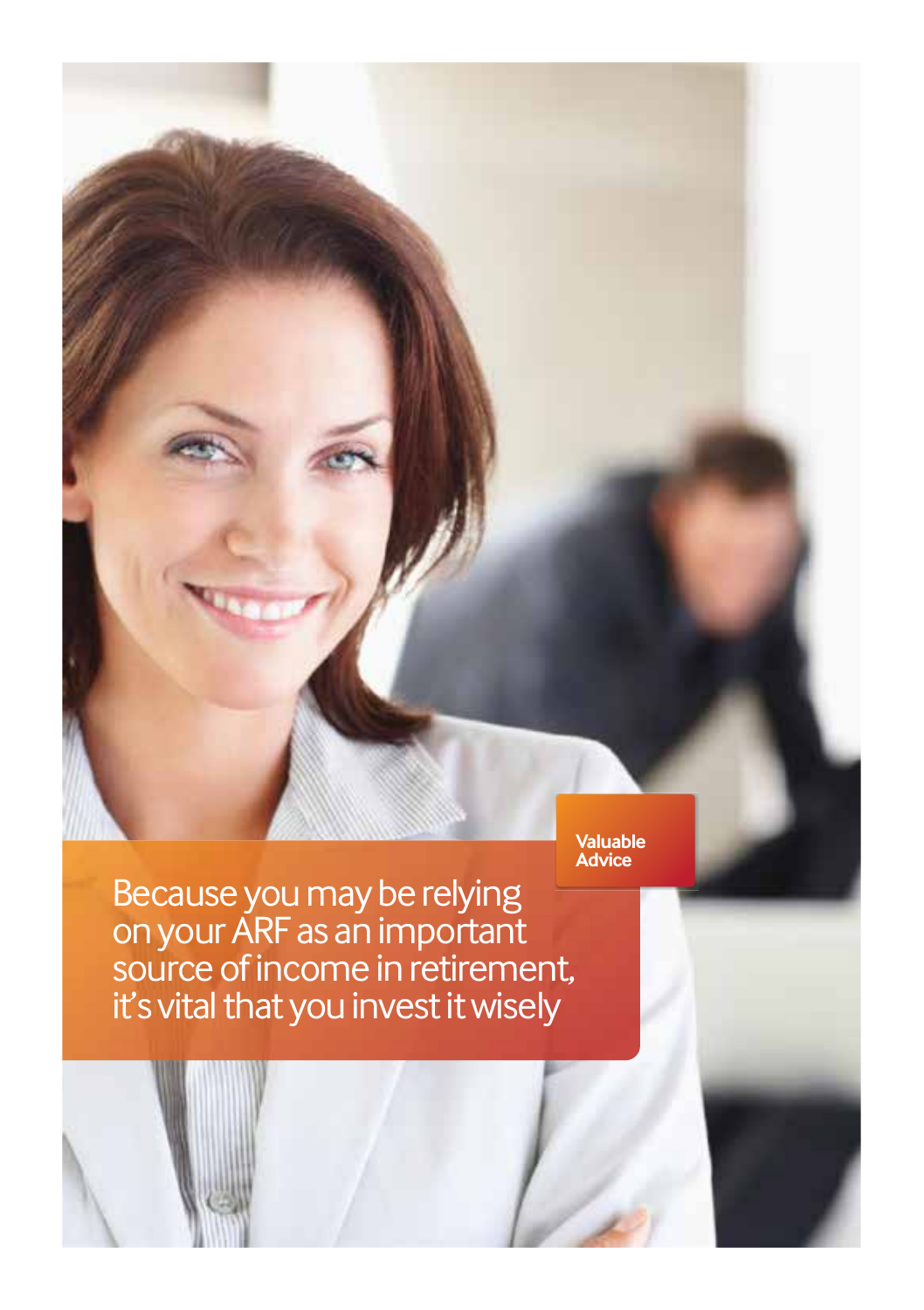**Valuable Advice**

Because you may be relying on your ARF as an important source of income in retirement, it's vital that you invest it wisely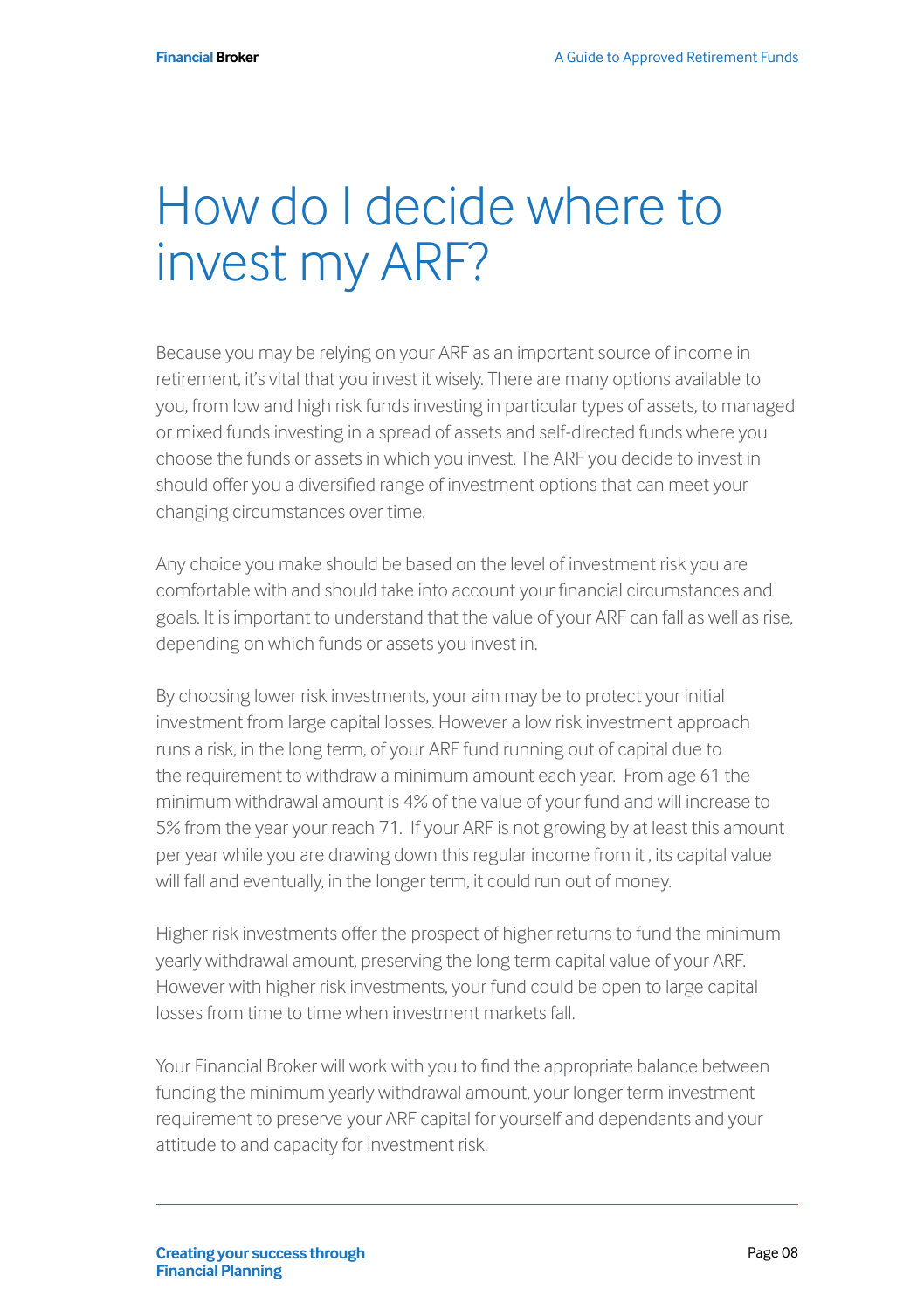## How do I decide where to invest my ARF?

Because you may be relying on your ARF as an important source of income in retirement, it's vital that you invest it wisely. There are many options available to you, from low and high risk funds investing in particular types of assets, to managed or mixed funds investing in a spread of assets and self-directed funds where you choose the funds or assets in which you invest. The ARF you decide to invest in should offer you a diversified range of investment options that can meet your changing circumstances over time.

Any choice you make should be based on the level of investment risk you are comfortable with and should take into account your financial circumstances and goals. It is important to understand that the value of your ARF can fall as well as rise, depending on which funds or assets you invest in.

By choosing lower risk investments, your aim may be to protect your initial investment from large capital losses. However a low risk investment approach runs a risk, in the long term, of your ARF fund running out of capital due to the requirement to withdraw a minimum amount each year. From age 61 the minimum withdrawal amount is 4% of the value of your fund and will increase to 5% from the year your reach 71. If your ARF is not growing by at least this amount per year while you are drawing down this regular income from it , its capital value will fall and eventually, in the longer term, it could run out of money.

Higher risk investments offer the prospect of higher returns to fund the minimum yearly withdrawal amount, preserving the long term capital value of your ARF. However with higher risk investments, your fund could be open to large capital losses from time to time when investment markets fall.

Your Financial Broker will work with you to find the appropriate balance between funding the minimum yearly withdrawal amount, your longer term investment requirement to preserve your ARF capital for yourself and dependants and your attitude to and capacity for investment risk.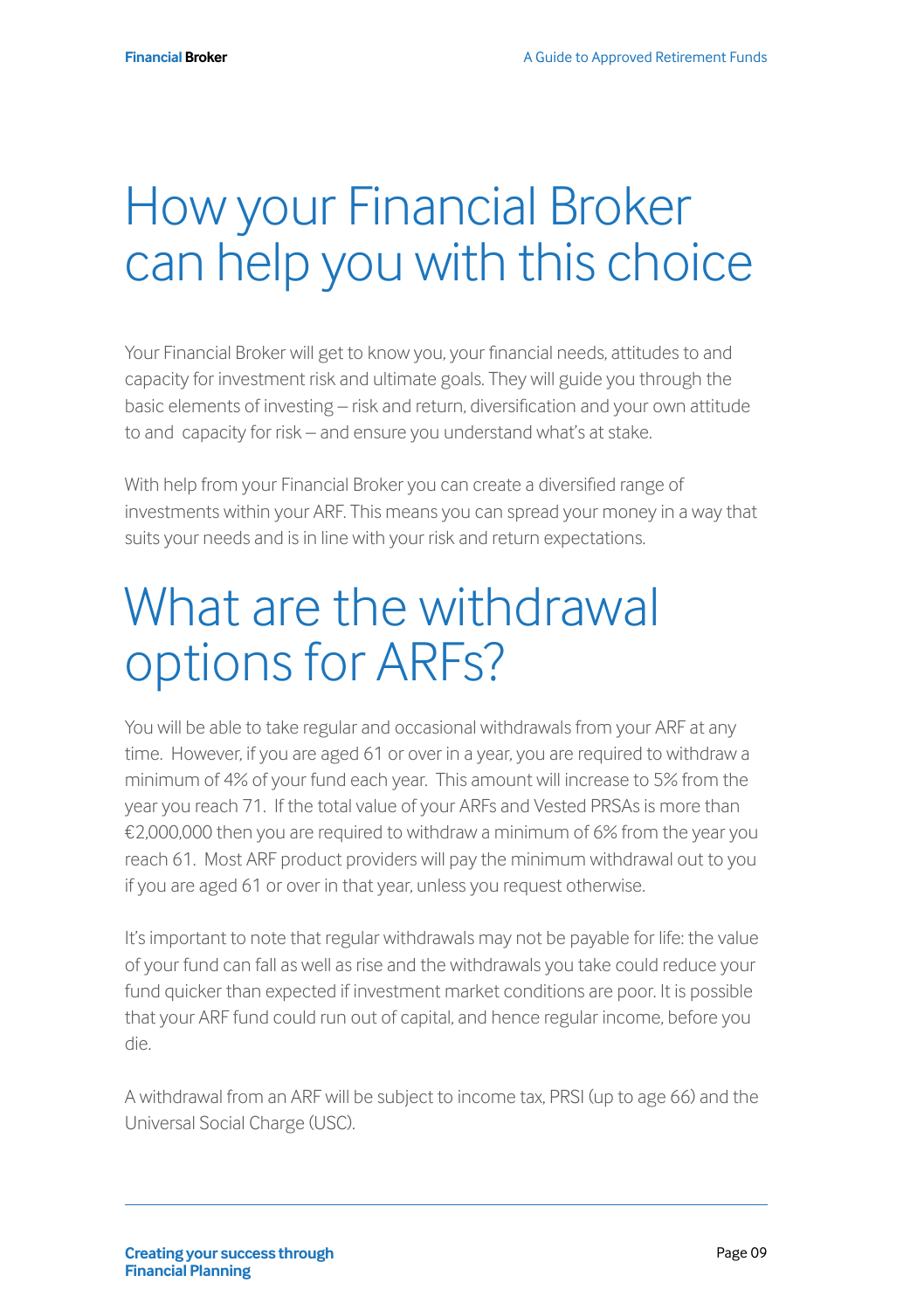#### How your Financial Broker can help you with this choice

Your Financial Broker will get to know you, your financial needs, attitudes to and capacity for investment risk and ultimate goals. They will guide you through the basic elements of investing – risk and return, diversification and your own attitude to and capacity for risk – and ensure you understand what's at stake.

With help from your Financial Broker you can create a diversified range of investments within your ARF. This means you can spread your money in a way that suits your needs and is in line with your risk and return expectations.

### What are the withdrawal options for ARFs?

You will be able to take regular and occasional withdrawals from your ARF at any time. However, if you are aged 61 or over in a year, you are required to withdraw a minimum of 4% of your fund each year. This amount will increase to 5% from the year you reach 71. If the total value of your ARFs and Vested PRSAs is more than €2,000,000 then you are required to withdraw a minimum of 6% from the year you reach 61. Most ARF product providers will pay the minimum withdrawal out to you if you are aged 61 or over in that year, unless you request otherwise.

It's important to note that regular withdrawals may not be payable for life: the value of your fund can fall as well as rise and the withdrawals you take could reduce your fund quicker than expected if investment market conditions are poor. It is possible that your ARF fund could run out of capital, and hence regular income, before you die.

A withdrawal from an ARF will be subject to income tax, PRSI (up to age 66) and the Universal Social Charge (USC).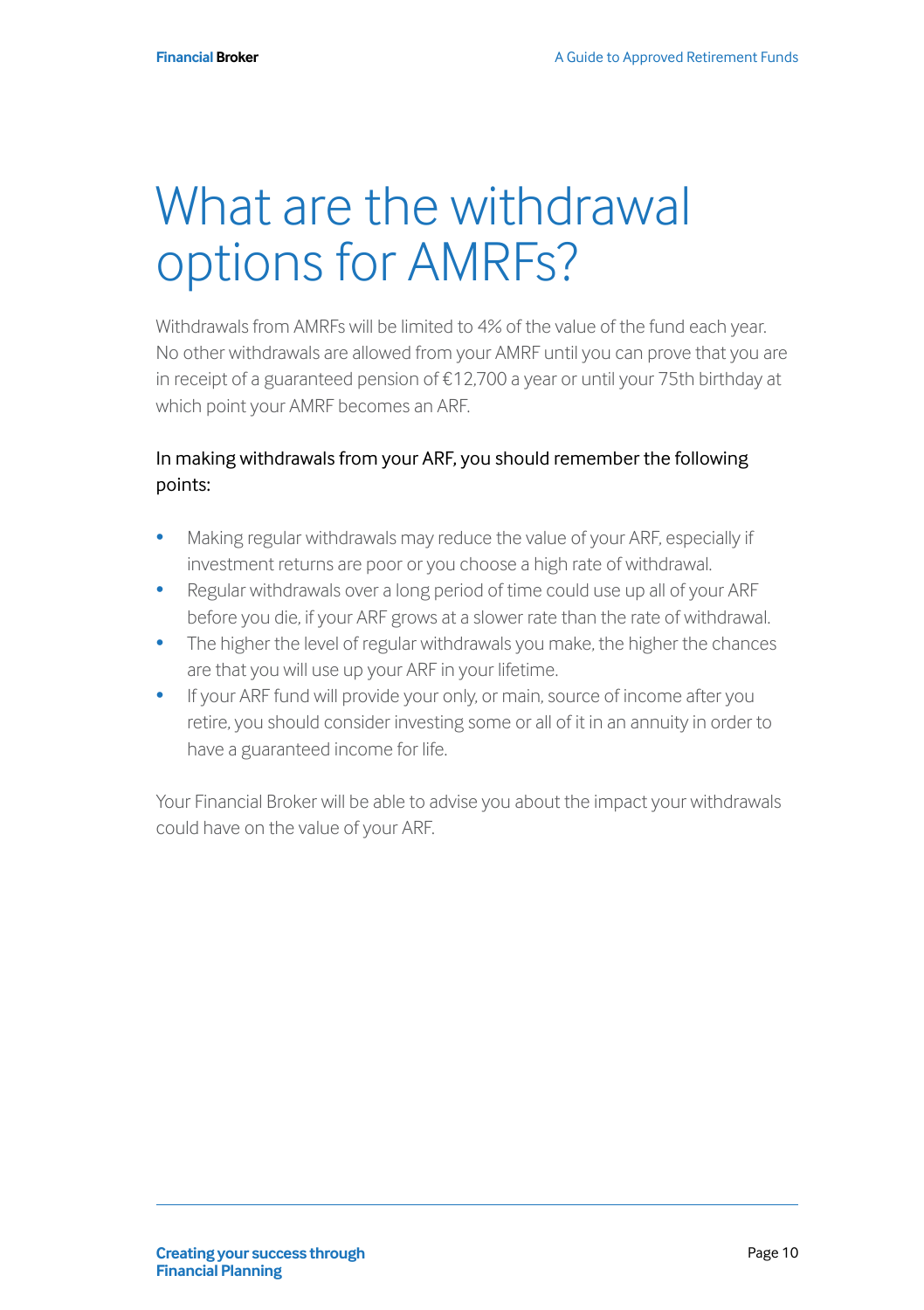#### What are the withdrawal options for AMRFs?

Withdrawals from AMRFs will be limited to 4% of the value of the fund each year. No other withdrawals are allowed from your AMRF until you can prove that you are in receipt of a guaranteed pension of €12,700 a year or until your 75th birthday at which point your AMRF becomes an ARF.

#### In making withdrawals from your ARF, you should remember the following points:

- Making regular withdrawals may reduce the value of your ARF, especially if investment returns are poor or you choose a high rate of withdrawal.
- Regular withdrawals over a long period of time could use up all of your ARF before you die, if your ARF grows at a slower rate than the rate of withdrawal.
- The higher the level of regular withdrawals you make, the higher the chances are that you will use up your ARF in your lifetime.
- If your ARF fund will provide your only, or main, source of income after you retire, you should consider investing some or all of it in an annuity in order to have a guaranteed income for life.

Your Financial Broker will be able to advise you about the impact your withdrawals could have on the value of your ARF.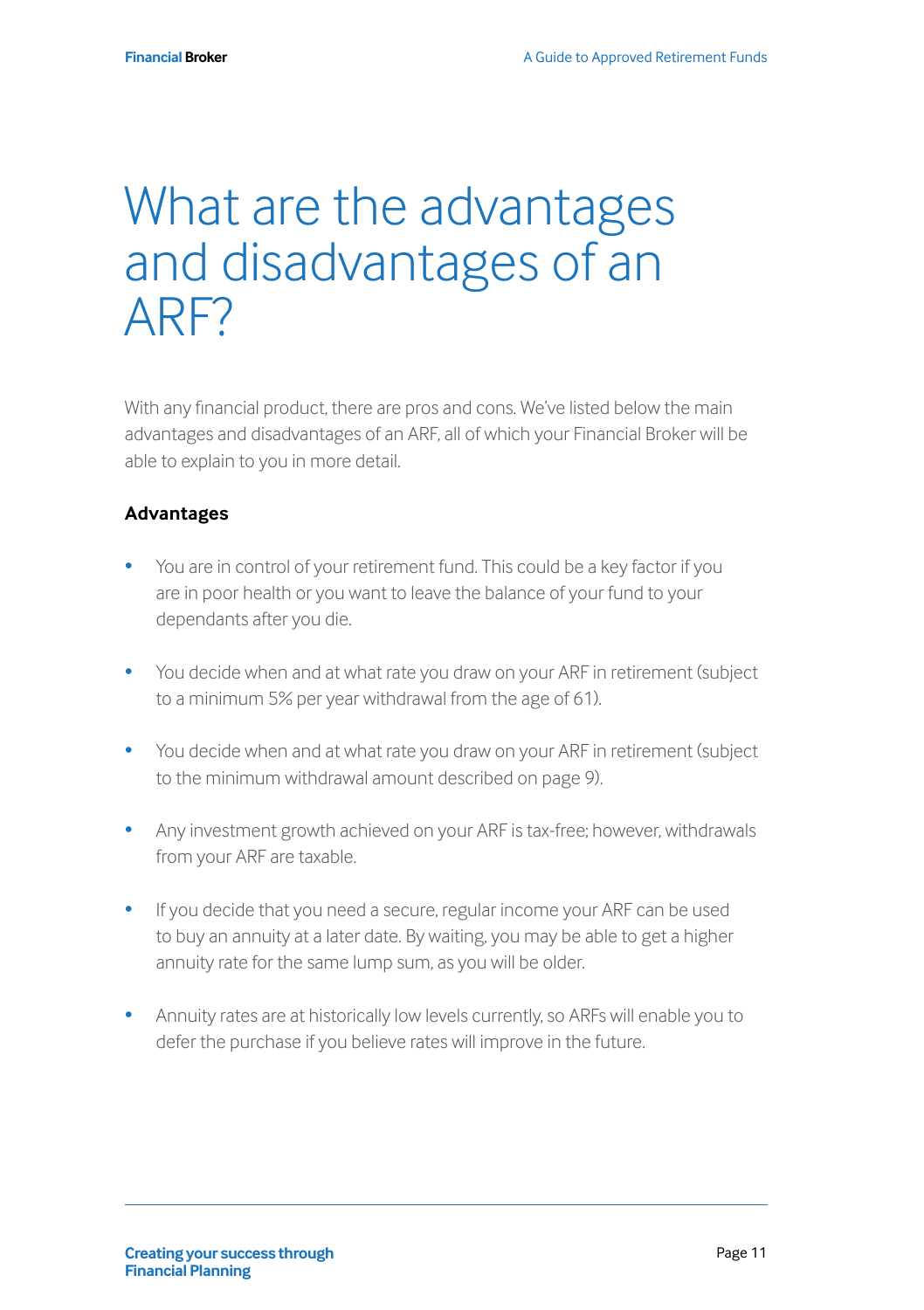#### What are the advantages and disadvantages of an ARF?

With any financial product, there are pros and cons. We've listed below the main advantages and disadvantages of an ARF, all of which your Financial Broker will be able to explain to you in more detail.

#### **Advantages**

- You are in control of your retirement fund. This could be a key factor if you are in poor health or you want to leave the balance of your fund to your dependants after you die.
- You decide when and at what rate you draw on your ARF in retirement (subject to a minimum 5% per year withdrawal from the age of 61).
- You decide when and at what rate you draw on your ARF in retirement (subject to the minimum withdrawal amount described on page 9).
- Any investment growth achieved on your ARF is tax-free; however, withdrawals from your ARF are taxable.
- If you decide that you need a secure, regular income your ARF can be used to buy an annuity at a later date. By waiting, you may be able to get a higher annuity rate for the same lump sum, as you will be older.
- Annuity rates are at historically low levels currently, so ARFs will enable you to defer the purchase if you believe rates will improve in the future.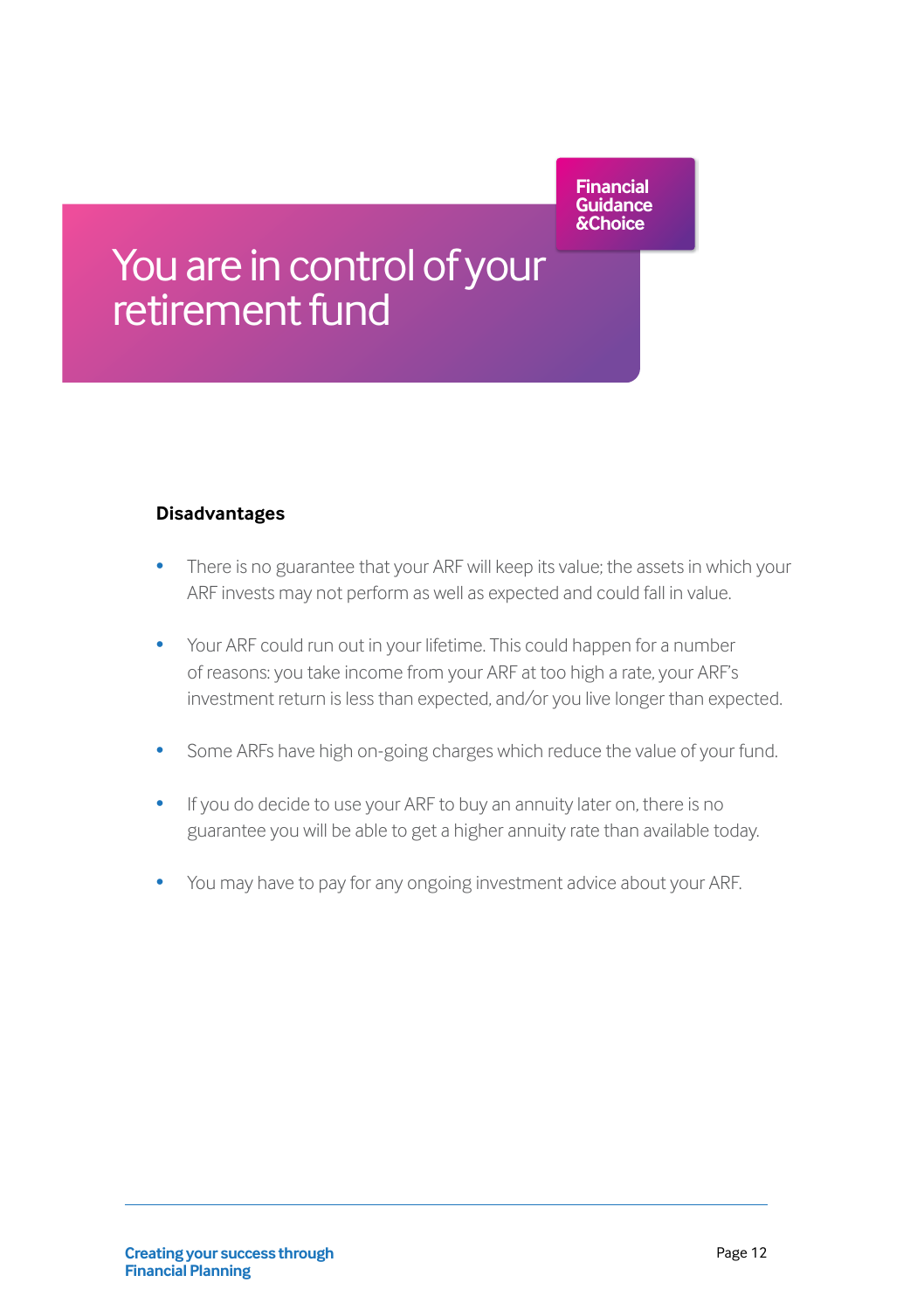What are the advanced to the advanced to the advanced to the advanced to the advanced to the advanced to the a<br>What are the advanced to the advanced to the advanced to the advanced to the advanced to the advanced to the a<br> **Financial Guidance &Choice**

#### You are in control of your retirement fund

#### **Disadvantages**

- There is no guarantee that your ARF will keep its value; the assets in which your ARF invests may not perform as well as expected and could fall in value.
- Your ARF could run out in your lifetime. This could happen for a number of reasons: you take income from your ARF at too high a rate, your ARF's investment return is less than expected, and/or you live longer than expected.
- Some ARFs have high on-going charges which reduce the value of your fund.
- If you do decide to use your ARF to buy an annuity later on, there is no guarantee you will be able to get a higher annuity rate than available today.
- You may have to pay for any ongoing investment advice about your ARF.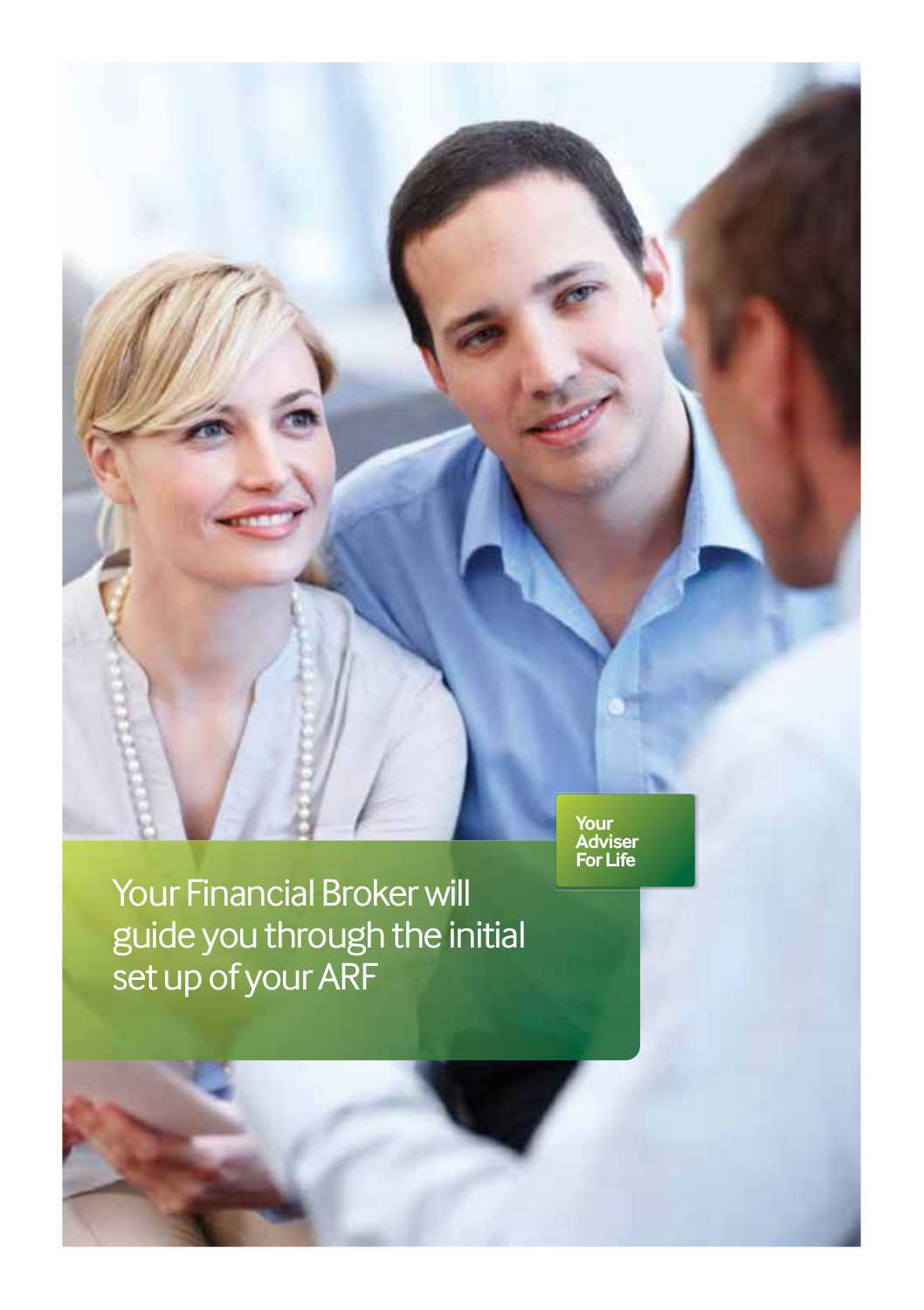

Your Financial Broker will guide you through the initial set up of your ARF

**Your Adviser For Life**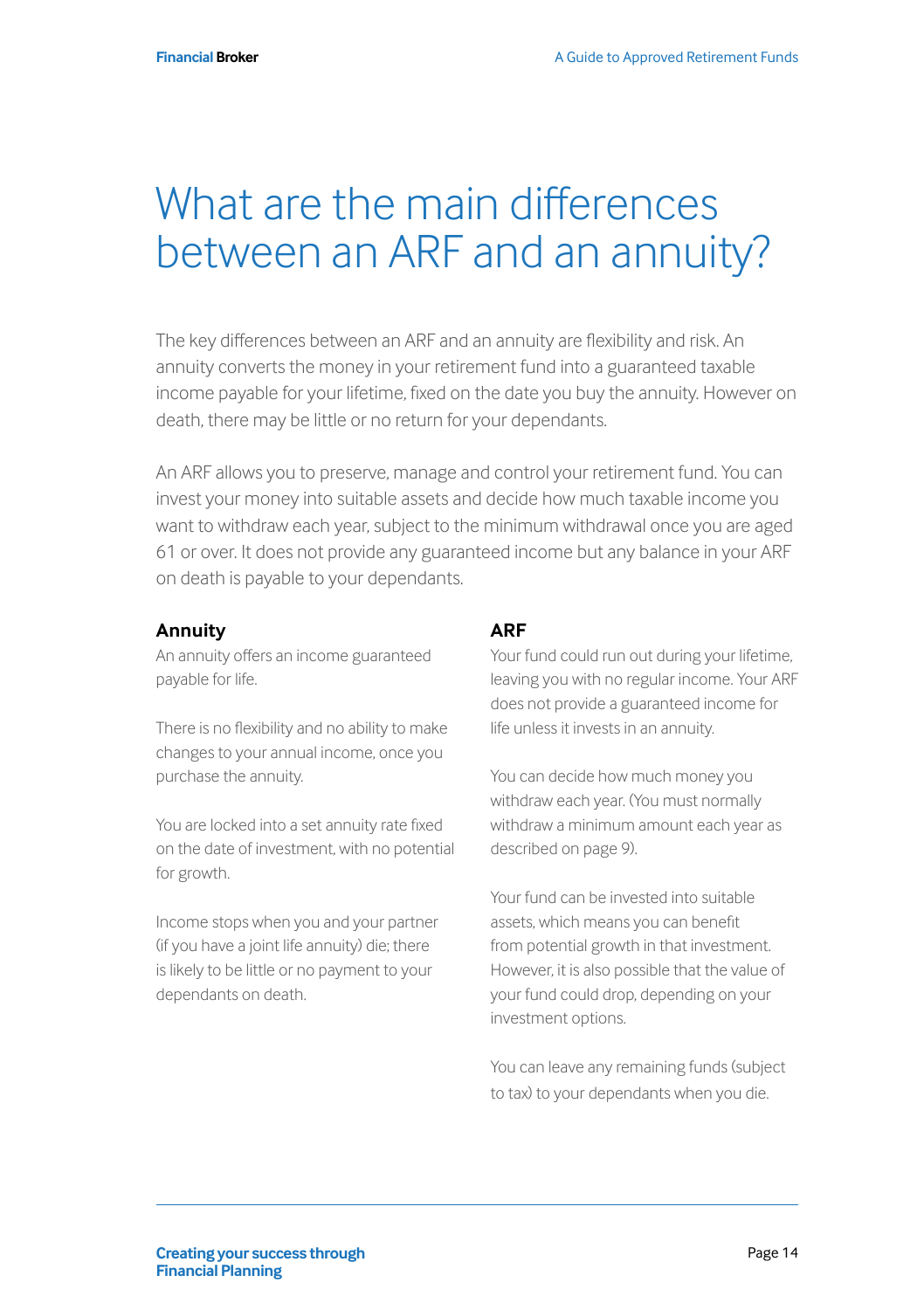#### What are the main differences between an ARF and an annuity?

The key differences between an ARF and an annuity are flexibility and risk. An annuity converts the money in your retirement fund into a guaranteed taxable income payable for your lifetime, fixed on the date you buy the annuity. However on death, there may be little or no return for your dependants.

An ARF allows you to preserve, manage and control your retirement fund. You can invest your money into suitable assets and decide how much taxable income you want to withdraw each year, subject to the minimum withdrawal once you are aged 61 or over. It does not provide any guaranteed income but any balance in your ARF on death is payable to your dependants.

#### **Annuity**

An annuity offers an income guaranteed payable for life.

There is no flexibility and no ability to make changes to your annual income, once you purchase the annuity.

You are locked into a set annuity rate fixed on the date of investment, with no potential for growth.

Income stops when you and your partner (if you have a joint life annuity) die; there is likely to be little or no payment to your dependants on death.

#### **ARF**

Your fund could run out during your lifetime, leaving you with no regular income. Your ARF does not provide a guaranteed income for life unless it invests in an annuity.

You can decide how much money you withdraw each year. (You must normally withdraw a minimum amount each year as described on page 9).

Your fund can be invested into suitable assets, which means you can benefit from potential growth in that investment. However, it is also possible that the value of your fund could drop, depending on your investment options.

You can leave any remaining funds (subject to tax) to your dependants when you die.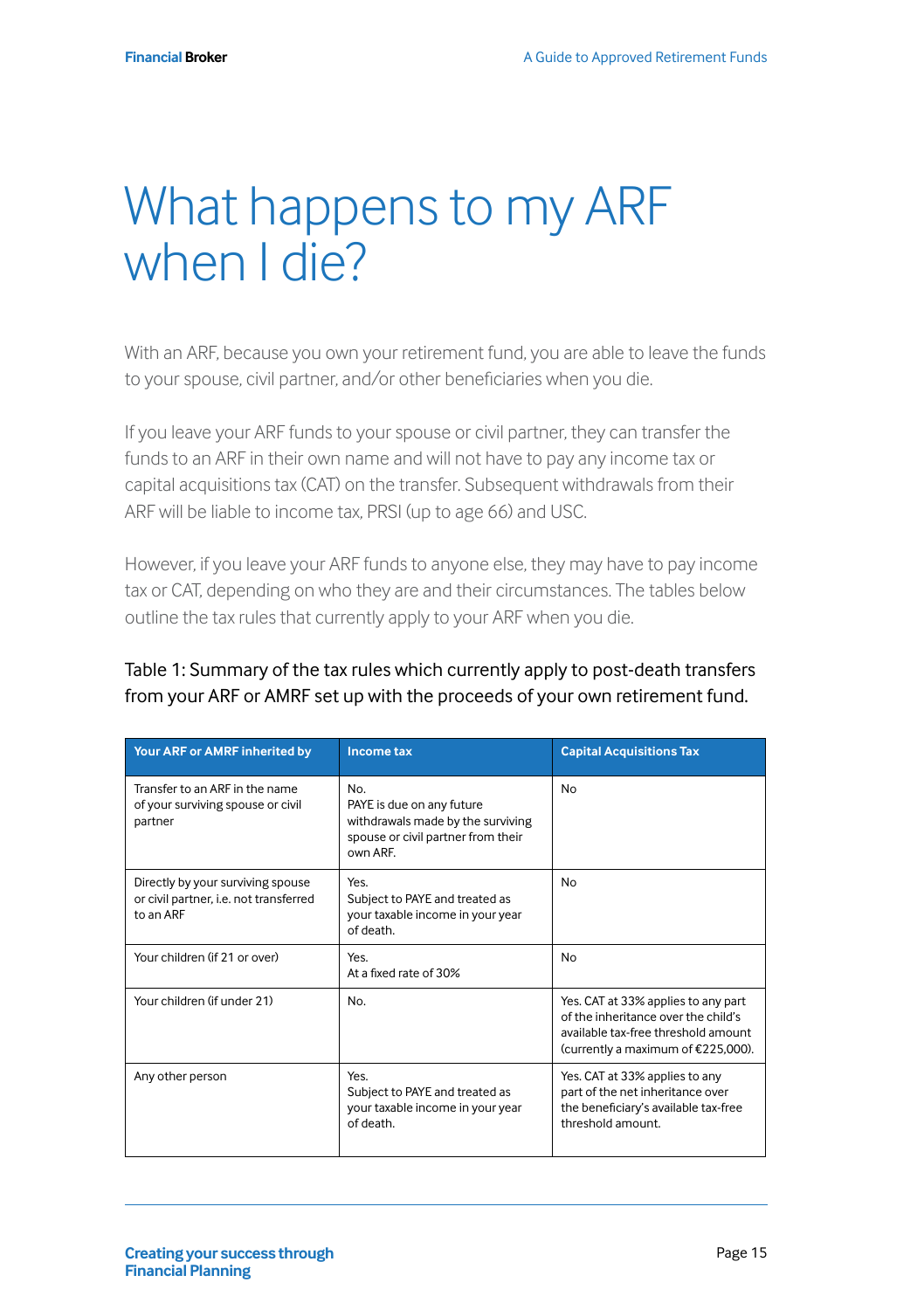#### What happens to my ARF when I die?

With an ARF, because you own your retirement fund, you are able to leave the funds to your spouse, civil partner, and/or other beneficiaries when you die.

If you leave your ARF funds to your spouse or civil partner, they can transfer the funds to an ARF in their own name and will not have to pay any income tax or capital acquisitions tax (CAT) on the transfer. Subsequent withdrawals from their ARF will be liable to income tax, PRSI (up to age 66) and USC.

However, if you leave your ARF funds to anyone else, they may have to pay income tax or CAT, depending on who they are and their circumstances. The tables below outline the tax rules that currently apply to your ARF when you die.

| Table 1: Summary of the tax rules which currently apply to post-death transfers |
|---------------------------------------------------------------------------------|
| from your ARF or AMRF set up with the proceeds of your own retirement fund.     |

| Your ARF or AMRF inherited by                                                            | <b>Income tax</b>                                                                                                       | <b>Capital Acquisitions Tax</b>                                                                                                                         |
|------------------------------------------------------------------------------------------|-------------------------------------------------------------------------------------------------------------------------|---------------------------------------------------------------------------------------------------------------------------------------------------------|
| Transfer to an ARF in the name<br>of your surviving spouse or civil<br>partner           | No.<br>PAYE is due on any future<br>withdrawals made by the surviving<br>spouse or civil partner from their<br>own ARF. | <b>No</b>                                                                                                                                               |
| Directly by your surviving spouse<br>or civil partner, i.e. not transferred<br>to an ARF | Yes.<br>Subject to PAYE and treated as<br>your taxable income in your year<br>of death.                                 | No                                                                                                                                                      |
| Your children (if 21 or over)                                                            | Yes.<br>At a fixed rate of 30%                                                                                          | <b>No</b>                                                                                                                                               |
| Your children (if under 21)                                                              | No.                                                                                                                     | Yes. CAT at 33% applies to any part<br>of the inheritance over the child's<br>available tax-free threshold amount<br>(currently a maximum of €225,000). |
| Any other person                                                                         | Yes.<br>Subject to PAYE and treated as<br>your taxable income in your year<br>of death.                                 | Yes. CAT at 33% applies to any<br>part of the net inheritance over<br>the beneficiary's available tax-free<br>threshold amount.                         |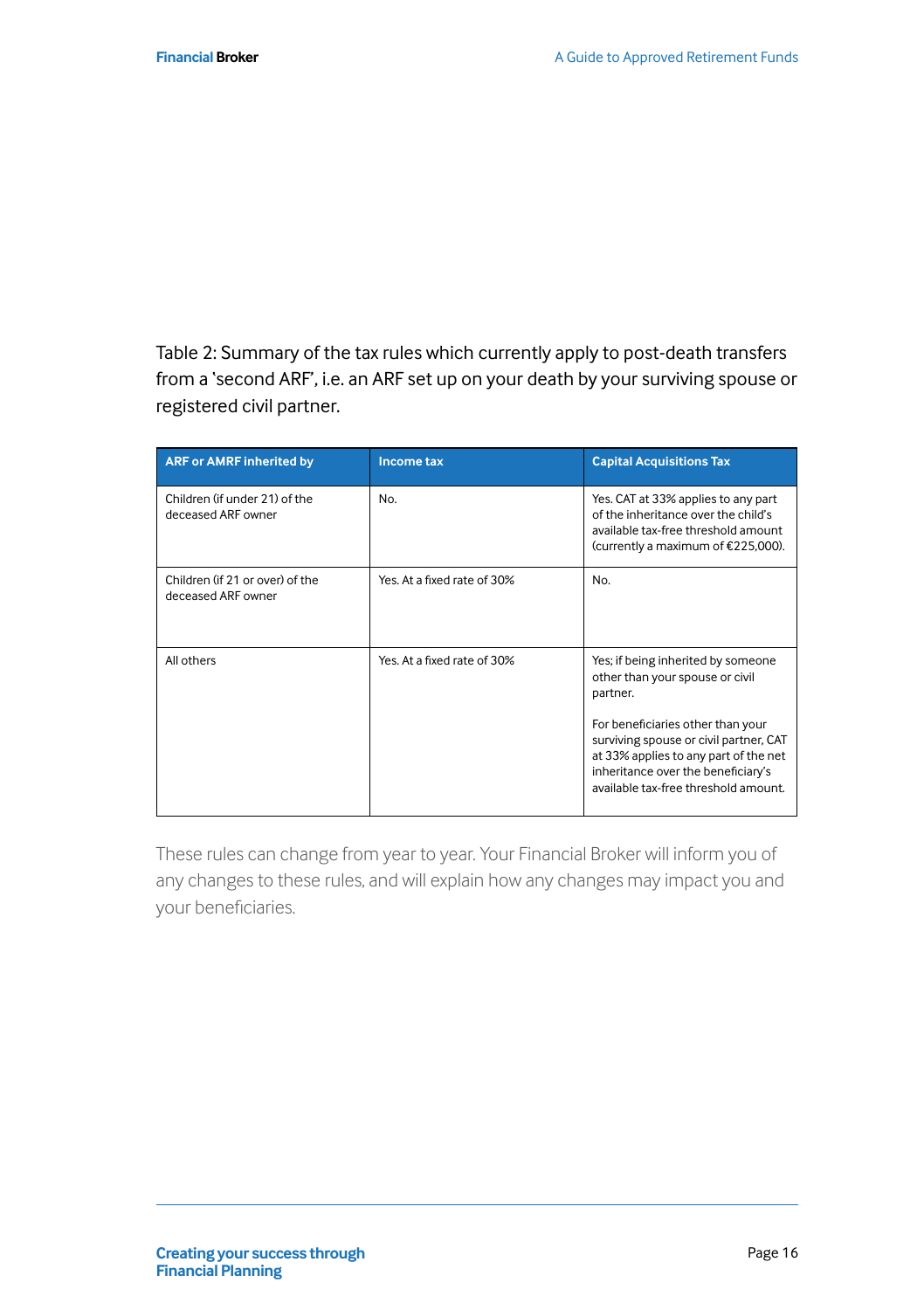Table 2: Summary of the tax rules which currently apply to post-death transfers from a 'second ARF', i.e. an ARF set up on your death by your surviving spouse or registered civil partner.

| <b>ARF or AMRF inherited by</b>                       | Income tax                  | <b>Capital Acquisitions Tax</b>                                                                                                                                                                                                                                                         |
|-------------------------------------------------------|-----------------------------|-----------------------------------------------------------------------------------------------------------------------------------------------------------------------------------------------------------------------------------------------------------------------------------------|
| Children (if under 21) of the<br>deceased ARF owner   | No.                         | Yes. CAT at 33% applies to any part<br>of the inheritance over the child's<br>available tax-free threshold amount<br>(currently a maximum of €225,000).                                                                                                                                 |
| Children (if 21 or over) of the<br>deceased ARF owner | Yes. At a fixed rate of 30% | No.                                                                                                                                                                                                                                                                                     |
| All others                                            | Yes. At a fixed rate of 30% | Yes; if being inherited by someone<br>other than your spouse or civil<br>partner.<br>For beneficiaries other than your<br>surviving spouse or civil partner, CAT<br>at 33% applies to any part of the net<br>inheritance over the beneficiary's<br>available tax-free threshold amount. |

These rules can change from year to year. Your Financial Broker will inform you of any changes to these rules, and will explain how any changes may impact you and your beneficiaries.